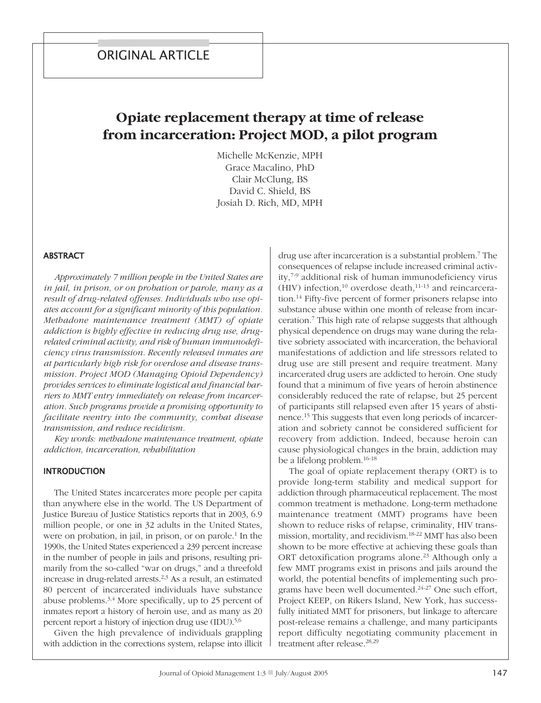# **Opiate replacement therapy at time of release from incarceration: Project MOD, a pilot program**

Michelle McKenzie, MPH Grace Macalino, PhD Clair McClung, BS David C. Shield, BS Josiah D. Rich, MD, MPH

#### **ABSTRACT**

*Approximately 7 million people in the United States are in jail, in prison, or on probation or parole, many as a result of drug-related offenses. Individuals who use opiates account for a significant minority of this population. Methadone maintenance treatment (MMT) of opiate addiction is highly effective in reducing drug use, drugrelated criminal activity, and risk of human immunodeficiency virus transmission. Recently released inmates are at particularly high risk for overdose and disease transmission. Project MOD (Managing Opioid Dependency) provides services to eliminate logistical and financial barriers to MMT entry immediately on release from incarceration. Such programs provide a promising opportunity to facilitate reentry into the community, combat disease transmission, and reduce recidivism.*

*Key words: methadone maintenance treatment, opiate addiction, incarceration, rehabilitation*

#### **INTRODUCTION**

The United States incarcerates more people per capita than anywhere else in the world. The US Department of Justice Bureau of Justice Statistics reports that in 2003, 6.9 million people, or one in 32 adults in the United States, were on probation, in jail, in prison, or on parole. <sup>1</sup> In the 1990s, the United States experienced a 239 percent increase in the number of people in jails and prisons, resulting primarily from the so-called "war on drugs," and a threefold increase in drug-related arrests. 2,3 As a result, an estimated 80 percent of incarcerated individuals have substance abuse problems.<sup>3,4</sup> More specifically, up to 25 percent of inmates report a history of heroin use, and as many as 20 percent report a history of injection drug use (IDU). 5,6

Given the high prevalence of individuals grappling with addiction in the corrections system, relapse into illicit

drug use after incarceration is a substantial problem. <sup>7</sup> The consequences of relapse include increased criminal activity, 7-9 additional risk of human immunodeficiency virus  $(HIV)$  infection,<sup>10</sup> overdose death,<sup>11-13</sup> and reincarceration. <sup>14</sup> Fifty-five percent of former prisoners relapse into substance abuse within one month of release from incarceration. <sup>7</sup> This high rate of relapse suggests that although physical dependence on drugs may wane during the relative sobriety associated with incarceration, the behavioral manifestations of addiction and life stressors related to drug use are still present and require treatment. Many incarcerated drug users are addicted to heroin. One study found that a minimum of five years of heroin abstinence considerably reduced the rate of relapse, but 25 percent of participants still relapsed even after 15 years of abstinence. <sup>15</sup> This suggests that even long periods of incarceration and sobriety cannot be considered sufficient for recovery from addiction. Indeed, because heroin can cause physiological changes in the brain, addiction may be a lifelong problem. 16-18

The goal of opiate replacement therapy (ORT) is to provide long-term stability and medical support for addiction through pharmaceutical replacement. The most common treatment is methadone. Long-term methadone maintenance treatment (MMT) programs have been shown to reduce risks of relapse, criminality, HIV transmission, mortality, and recidivism. 18-22 MMT has also been shown to be more effective at achieving these goals than ORT detoxification programs alone. <sup>23</sup> Although only a few MMT programs exist in prisons and jails around the world, the potential benefits of implementing such programs have been well documented. 24-27 One such effort, Project KEEP, on Rikers Island, New York, has successfully initiated MMT for prisoners, but linkage to aftercare post-release remains a challenge, and many participants report difficulty negotiating community placement in treatment after release. 28,29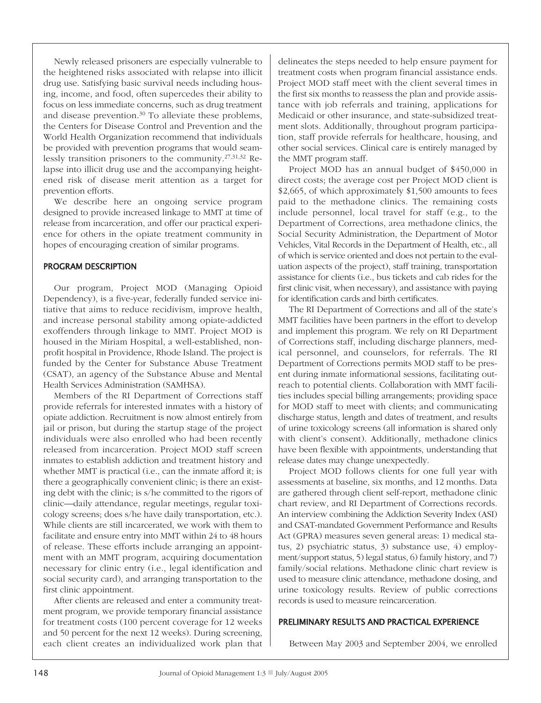Newly released prisoners are especially vulnerable to the heightened risks associated with relapse into illicit drug use. Satisfying basic survival needs including housing, income, and food, often supercedes their ability to focus on less immediate concerns, such as drug treatment and disease prevention. <sup>30</sup> To alleviate these problems, the Centers for Disease Control and Prevention and the World Health Organization recommend that individuals be provided with prevention programs that would seamlessly transition prisoners to the community. 27,31,32 Relapse into illicit drug use and the accompanying heightened risk of disease merit attention as a target for prevention efforts.

We describe here an ongoing service program designed to provide increased linkage to MMT at time of release from incarceration, and offer our practical experience for others in the opiate treatment community in hopes of encouraging creation of similar programs.

#### PROGRAM DESCRIPTION

Our program, Project MOD (Managing Opioid Dependency), is a five-year, federally funded service initiative that aims to reduce recidivism, improve health, and increase personal stability among opiate-addicted exoffenders through linkage to MMT. Project MOD is housed in the Miriam Hospital, a well-established, nonprofit hospital in Providence, Rhode Island. The project is funded by the Center for Substance Abuse Treatment (CSAT), an agency of the Substance Abuse and Mental Health Services Administration (SAMHSA).

Members of the RI Department of Corrections staff provide referrals for interested inmates with a history of opiate addiction. Recruitment is now almost entirely from jail or prison, but during the startup stage of the project individuals were also enrolled who had been recently released from incarceration. Project MOD staff screen inmates to establish addiction and treatment history and whether MMT is practical (i.e., can the inmate afford it; is there a geographically convenient clinic; is there an existing debt with the clinic; is s/he committed to the rigors of clinic—daily attendance, regular meetings, regular toxicology screens; does s/he have daily transportation, etc.). While clients are still incarcerated, we work with them to facilitate and ensure entry into MMT within 24 to 48 hours of release. These efforts include arranging an appointment with an MMT program, acquiring documentation necessary for clinic entry (i.e., legal identification and social security card), and arranging transportation to the first clinic appointment.

After clients are released and enter a community treatment program, we provide temporary financial assistance for treatment costs (100 percent coverage for 12 weeks and 50 percent for the next 12 weeks). During screening, each client creates an individualized work plan that delineates the steps needed to help ensure payment for treatment costs when program financial assistance ends. Project MOD staff meet with the client several times in the first six months to reassess the plan and provide assistance with job referrals and training, applications for Medicaid or other insurance, and state-subsidized treatment slots. Additionally, throughout program participation, staff provide referrals for healthcare, housing, and other social services. Clinical care is entirely managed by the MMT program staff.

Project MOD has an annual budget of \$450,000 in direct costs; the average cost per Project MOD client is \$2,665, of which approximately \$1,500 amounts to fees paid to the methadone clinics. The remaining costs include personnel, local travel for staff (e.g., to the Department of Corrections, area methadone clinics, the Social Security Administration, the Department of Motor Vehicles, Vital Records in the Department of Health, etc., all of which is service oriented and does not pertain to the evaluation aspects of the project), staff training, transportation assistance for clients (i.e., bus tickets and cab rides for the first clinic visit, when necessary), and assistance with paying for identification cards and birth certificates.

The RI Department of Corrections and all of the state's MMT facilities have been partners in the effort to develop and implement this program. We rely on RI Department of Corrections staff, including discharge planners, medical personnel, and counselors, for referrals. The RI Department of Corrections permits MOD staff to be present during inmate informational sessions, facilitating outreach to potential clients. Collaboration with MMT facilities includes special billing arrangements; providing space for MOD staff to meet with clients; and communicating discharge status, length and dates of treatment, and results of urine toxicology screens (all information is shared only with client's consent). Additionally, methadone clinics have been flexible with appointments, understanding that release dates may change unexpectedly.

Project MOD follows clients for one full year with assessments at baseline, six months, and 12 months. Data are gathered through client self-report, methadone clinic chart review, and RI Department of Corrections records. An interview combining the Addiction Severity Index (ASI) and CSAT-mandated Government Performance and Results Act (GPRA) measures seven general areas: 1) medical status, 2) psychiatric status, 3) substance use, 4) employment/support status, 5) legal status, 6) family history, and 7) family/social relations. Methadone clinic chart review is used to measure clinic attendance, methadone dosing, and urine toxicology results. Review of public corrections records is used to measure reincarceration.

#### PRELIMINARY RESULTS AND PRACTICAL EXPERIENCE

Between May 2003 and September 2004, we enrolled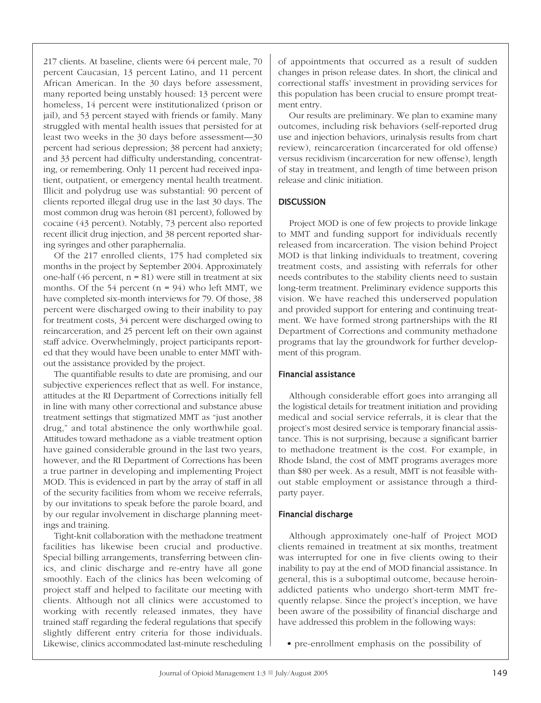217 clients. At baseline, clients were 64 percent male, 70 percent Caucasian, 13 percent Latino, and 11 percent African American. In the 30 days before assessment, many reported being unstably housed: 13 percent were homeless, 14 percent were institutionalized (prison or jail), and 53 percent stayed with friends or family. Many struggled with mental health issues that persisted for at least two weeks in the 30 days before assessment—30 percent had serious depression; 38 percent had anxiety; and 33 percent had difficulty understanding, concentrating, or remembering. Only 11 percent had received inpatient, outpatient, or emergency mental health treatment. Illicit and polydrug use was substantial: 90 percent of clients reported illegal drug use in the last 30 days. The most common drug was heroin (81 percent), followed by cocaine (43 percent). Notably, 73 percent also reported recent illicit drug injection, and 38 percent reported sharing syringes and other paraphernalia.

Of the 217 enrolled clients, 175 had completed six months in the project by September 2004. Approximately one-half (46 percent,  $n = 81$ ) were still in treatment at six months. Of the 54 percent  $(n = 94)$  who left MMT, we have completed six-month interviews for 79. Of those, 38 percent were discharged owing to their inability to pay for treatment costs, 34 percent were discharged owing to reincarceration, and 25 percent left on their own against staff advice. Overwhelmingly, project participants reported that they would have been unable to enter MMT without the assistance provided by the project.

The quantifiable results to date are promising, and our subjective experiences reflect that as well. For instance, attitudes at the RI Department of Corrections initially fell in line with many other correctional and substance abuse treatment settings that stigmatized MMT as "just another drug," and total abstinence the only worthwhile goal. Attitudes toward methadone as a viable treatment option have gained considerable ground in the last two years, however, and the RI Department of Corrections has been a true partner in developing and implementing Project MOD. This is evidenced in part by the array of staff in all of the security facilities from whom we receive referrals, by our invitations to speak before the parole board, and by our regular involvement in discharge planning meetings and training.

Tight-knit collaboration with the methadone treatment facilities has likewise been crucial and productive. Special billing arrangements, transferring between clinics, and clinic discharge and re-entry have all gone smoothly. Each of the clinics has been welcoming of project staff and helped to facilitate our meeting with clients. Although not all clinics were accustomed to working with recently released inmates, they have trained staff regarding the federal regulations that specify slightly different entry criteria for those individuals. Likewise, clinics accommodated last-minute rescheduling of appointments that occurred as a result of sudden changes in prison release dates. In short, the clinical and correctional staffs' investment in providing services for this population has been crucial to ensure prompt treatment entry.

Our results are preliminary. We plan to examine many outcomes, including risk behaviors (self-reported drug use and injection behaviors, urinalysis results from chart review), reincarceration (incarcerated for old offense) versus recidivism (incarceration for new offense), length of stay in treatment, and length of time between prison release and clinic initiation.

# **DISCUSSION**

Project MOD is one of few projects to provide linkage to MMT and funding support for individuals recently released from incarceration. The vision behind Project MOD is that linking individuals to treatment, covering treatment costs, and assisting with referrals for other needs contributes to the stability clients need to sustain long-term treatment. Preliminary evidence supports this vision. We have reached this underserved population and provided support for entering and continuing treatment. We have formed strong partnerships with the RI Department of Corrections and community methadone programs that lay the groundwork for further development of this program.

## Financial assistance

Although considerable effort goes into arranging all the logistical details for treatment initiation and providing medical and social service referrals, it is clear that the project's most desired service is temporary financial assistance. This is not surprising, because a significant barrier to methadone treatment is the cost. For example, in Rhode Island, the cost of MMT programs averages more than \$80 per week. As a result, MMT is not feasible without stable employment or assistance through a thirdparty payer.

#### Financial discharge

Although approximately one-half of Project MOD clients remained in treatment at six months, treatment was interrupted for one in five clients owing to their inability to pay at the end of MOD financial assistance. In general, this is a suboptimal outcome, because heroinaddicted patients who undergo short-term MMT frequently relapse. Since the project's inception, we have been aware of the possibility of financial discharge and have addressed this problem in the following ways:

• pre-enrollment emphasis on the possibility of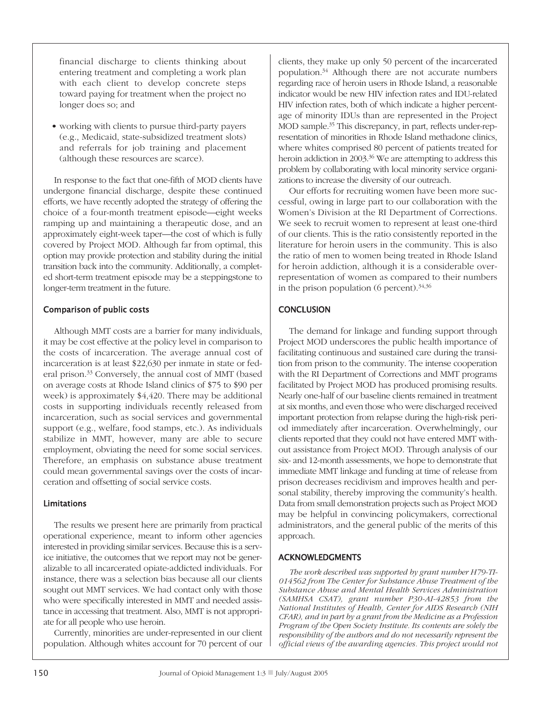financial discharge to clients thinking about entering treatment and completing a work plan with each client to develop concrete steps toward paying for treatment when the project no longer does so; and

• working with clients to pursue third-party payers (e.g., Medicaid, state-subsidized treatment slots) and referrals for job training and placement (although these resources are scarce).

In response to the fact that one-fifth of MOD clients have undergone financial discharge, despite these continued efforts, we have recently adopted the strategy of offering the choice of a four-month treatment episode—eight weeks ramping up and maintaining a therapeutic dose, and an approximately eight-week taper—the cost of which is fully covered by Project MOD. Although far from optimal, this option may provide protection and stability during the initial transition back into the community. Additionally, a completed short-term treatment episode may be a steppingstone to longer-term treatment in the future.

## comparison of public costs

Although MMT costs are a barrier for many individuals, it may be cost effective at the policy level in comparison to the costs of incarceration. The average annual cost of incarceration is at least \$22,630 per inmate in state or federal prison. <sup>33</sup> Conversely, the annual cost of MMT (based on average costs at Rhode Island clinics of \$75 to \$90 per week) is approximately \$4,420. There may be additional costs in supporting individuals recently released from incarceration, such as social services and governmental support (e.g., welfare, food stamps, etc.). As individuals stabilize in MMT, however, many are able to secure employment, obviating the need for some social services. Therefore, an emphasis on substance abuse treatment could mean governmental savings over the costs of incarceration and offsetting of social service costs.

## **Limitations**

The results we present here are primarily from practical operational experience, meant to inform other agencies interested in providing similar services. Because this is a service initiative, the outcomes that we report may not be generalizable to all incarcerated opiate-addicted individuals. For instance, there was a selection bias because all our clients sought out MMT services. We had contact only with those who were specifically interested in MMT and needed assistance in accessing that treatment. Also, MMT is not appropriate for all people who use heroin.

Currently, minorities are under-represented in our client population. Although whites account for 70 percent of our clients, they make up only 50 percent of the incarcerated population. <sup>34</sup> Although there are not accurate numbers regarding race of heroin users in Rhode Island, a reasonable indicator would be new HIV infection rates and IDU-related HIV infection rates, both of which indicate a higher percentage of minority IDUs than are represented in the Project MOD sample. <sup>35</sup> This discrepancy, in part, reflects under-representation of minorities in Rhode Island methadone clinics, where whites comprised 80 percent of patients treated for heroin addiction in 2003. <sup>36</sup> We are attempting to address this problem by collaborating with local minority service organizations to increase the diversity of our outreach.

Our efforts for recruiting women have been more successful, owing in large part to our collaboration with the Women's Division at the RI Department of Corrections. We seek to recruit women to represent at least one-third of our clients. This is the ratio consistently reported in the literature for heroin users in the community. This is also the ratio of men to women being treated in Rhode Island for heroin addiction, although it is a considerable overrepresentation of women as compared to their numbers in the prison population (6 percent). 34,36

# **CONCLUSION**

The demand for linkage and funding support through Project MOD underscores the public health importance of facilitating continuous and sustained care during the transition from prison to the community. The intense cooperation with the RI Department of Corrections and MMT programs facilitated by Project MOD has produced promising results. Nearly one-half of our baseline clients remained in treatment at six months, and even those who were discharged received important protection from relapse during the high-risk period immediately after incarceration. Overwhelmingly, our clients reported that they could not have entered MMT without assistance from Project MOD. Through analysis of our six- and 12-month assessments, we hope to demonstrate that immediate MMT linkage and funding at time of release from prison decreases recidivism and improves health and personal stability, thereby improving the community's health. Data from small demonstration projects such as Project MOD may be helpful in convincing policymakers, correctional administrators, and the general public of the merits of this approach.

# **ACKNOWLEDGMENTS**

*The work described was supported by grant number H79-TI-014562 from The Center for Substance Abuse Treatment of the Substance Abuse and Mental Health Services Administration (SAMHSA CSAT), grant number P30-AI-42853 from the National Institutes of Health, Center for AIDS Research (NIH CFAR), and in part by a grant from the Medicine as a Profession Program of the Open Society Institute. Its contents are solely the responsibility of the authors and do not necessarily represent the official views of the awarding agencies. This project would not*